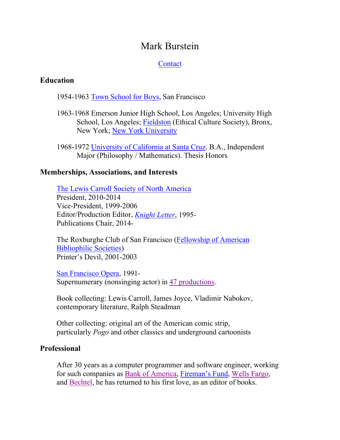# Mark Burstein

## **[Contact](mailto:Mark@MarkMyWords.ws)**

#### **Education**

1954-1963 [Town School for Boys,](http://www.townschool.com/) San Francisco

- 1963-1968 Emerson Junior High School, Los Angeles; University High School, Los Angeles; [Fieldston](http://www.ecfs.org/) (Ethical Culture Society), Bronx, New York; [New York University](http://www.nyu.edu/)
- 1968-1972 [University of California at Santa Cruz.](http://www.ucsc.edu/) B.A., Independent Major (Philosophy / Mathematics). Thesis Honors

#### **Memberships, Associations, and Interests**

[The Lewis Carroll Society of North America](http://www.lewiscarroll.org/) President, 2010-2014 Vice-President, 1999-2006 Editor/Production Editor, *[Knight Letter](https://archive.org/details/knightletters?sort=-date)*, 1995- Publications Chair, 2014-

The Roxburghe Club of San Francisco [\(Fellowship of American](http://www.fabsocieties.org/)  [Bibliophilic Societies\)](http://www.fabsocieties.org/) Printer's Devil, 2001-2003

[San Francisco Opera,](http://www.sfopera.com/) 1991- Supernumerary (nonsinging actor) in 47 [productions.](https://img1.wsimg.com/blobby/go/b5951a11-b586-473e-be9b-6f3bcb6c257e/downloads/SuperMe.pdf?ver=1625249009115)

Book collecting: Lewis Carroll, James Joyce, Vladimir Nabokov, contemporary literature, Ralph Steadman

Other collecting: original art of the American comic strip, particularly *Pogo* and other classics and underground cartoonists

## **Professional**

After 30 years as a computer programmer and software engineer, working for such companies as [Bank of America,](http://www.bankofamerica.com/) [Fireman's Fund,](https://www.linkedin.com/company/firemans-fund-insurance-company/) [Wells Fargo,](https://www.wellsfargo.com/) and [Bechtel,](http://www.bechtel.com/) he has returned to his first love, as an editor of books.